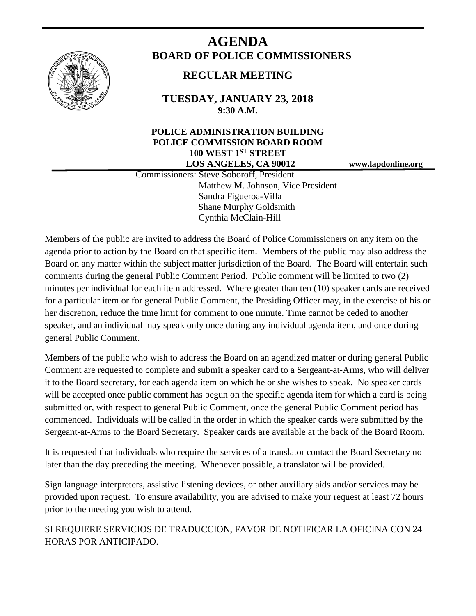

# **AGENDA BOARD OF POLICE COMMISSIONERS**

# **REGULAR MEETING**

**TUESDAY, JANUARY 23, 2018 9:30 A.M.**

# **POLICE ADMINISTRATION BUILDING POLICE COMMISSION BOARD ROOM 100 WEST 1ST STREET LOS ANGELES, CA 90012 www.lapdonline.org**

 Commissioners: Steve Soboroff, President Matthew M. Johnson, Vice President Sandra Figueroa-Villa Shane Murphy Goldsmith Cynthia McClain-Hill

Members of the public are invited to address the Board of Police Commissioners on any item on the agenda prior to action by the Board on that specific item. Members of the public may also address the Board on any matter within the subject matter jurisdiction of the Board. The Board will entertain such comments during the general Public Comment Period. Public comment will be limited to two (2) minutes per individual for each item addressed. Where greater than ten (10) speaker cards are received for a particular item or for general Public Comment, the Presiding Officer may, in the exercise of his or her discretion, reduce the time limit for comment to one minute. Time cannot be ceded to another speaker, and an individual may speak only once during any individual agenda item, and once during general Public Comment.

Members of the public who wish to address the Board on an agendized matter or during general Public Comment are requested to complete and submit a speaker card to a Sergeant-at-Arms, who will deliver it to the Board secretary, for each agenda item on which he or she wishes to speak. No speaker cards will be accepted once public comment has begun on the specific agenda item for which a card is being submitted or, with respect to general Public Comment, once the general Public Comment period has commenced. Individuals will be called in the order in which the speaker cards were submitted by the Sergeant-at-Arms to the Board Secretary. Speaker cards are available at the back of the Board Room.

It is requested that individuals who require the services of a translator contact the Board Secretary no later than the day preceding the meeting. Whenever possible, a translator will be provided.

Sign language interpreters, assistive listening devices, or other auxiliary aids and/or services may be provided upon request. To ensure availability, you are advised to make your request at least 72 hours prior to the meeting you wish to attend.

SI REQUIERE SERVICIOS DE TRADUCCION, FAVOR DE NOTIFICAR LA OFICINA CON 24 HORAS POR ANTICIPADO.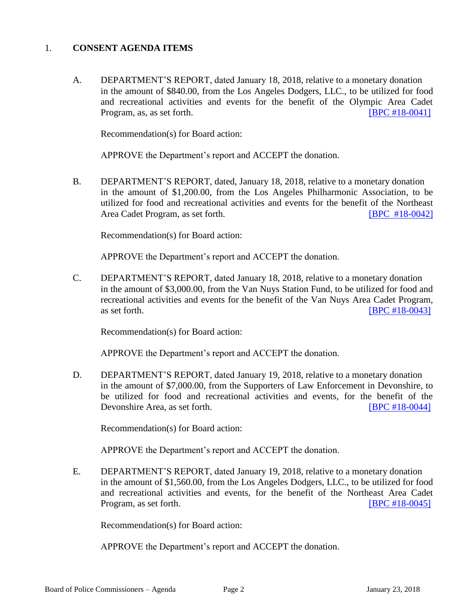#### 1. **CONSENT AGENDA ITEMS**

A. DEPARTMENT'S REPORT, dated January 18, 2018, relative to a monetary donation in the amount of \$840.00, from the Los Angeles Dodgers, LLC., to be utilized for food and recreational activities and events for the benefit of the Olympic Area Cadet Program, as, as set forth. **IDPC #18-0041** 

Recommendation(s) for Board action:

APPROVE the Department's report and ACCEPT the donation.

B. DEPARTMENT'S REPORT, dated, January 18, 2018, relative to a monetary donation in the amount of \$1,200.00, from the Los Angeles Philharmonic Association, to be utilized for food and recreational activities and events for the benefit of the Northeast Area Cadet Program, as set forth. [\[BPC #18-0042\]](http://www.lapdpolicecom.lacity.org/012318/BPC_18-0042.pdf)

Recommendation(s) for Board action:

APPROVE the Department's report and ACCEPT the donation.

C. DEPARTMENT'S REPORT, dated January 18, 2018, relative to a monetary donation in the amount of \$3,000.00, from the Van Nuys Station Fund, to be utilized for food and recreational activities and events for the benefit of the Van Nuys Area Cadet Program, as set forth. **IBPC #18-0043** 

Recommendation(s) for Board action:

APPROVE the Department's report and ACCEPT the donation.

D. DEPARTMENT'S REPORT, dated January 19, 2018, relative to a monetary donation in the amount of \$7,000.00, from the Supporters of Law Enforcement in Devonshire, to be utilized for food and recreational activities and events, for the benefit of the Devonshire Area, as set forth. [BPC [#18-0044\]](http://www.lapdpolicecom.lacity.org/012318/BPC_18-0044.pdf)

Recommendation(s) for Board action:

APPROVE the Department's report and ACCEPT the donation.

E. DEPARTMENT'S REPORT, dated January 19, 2018, relative to a monetary donation in the amount of \$1,560.00, from the Los Angeles Dodgers, LLC., to be utilized for food and recreational activities and events, for the benefit of the Northeast Area Cadet Program, as set forth. [\[BPC #18-0045\]](http://www.lapdpolicecom.lacity.org/012318/BPC_18-0045.pdf)

Recommendation(s) for Board action:

APPROVE the Department's report and ACCEPT the donation.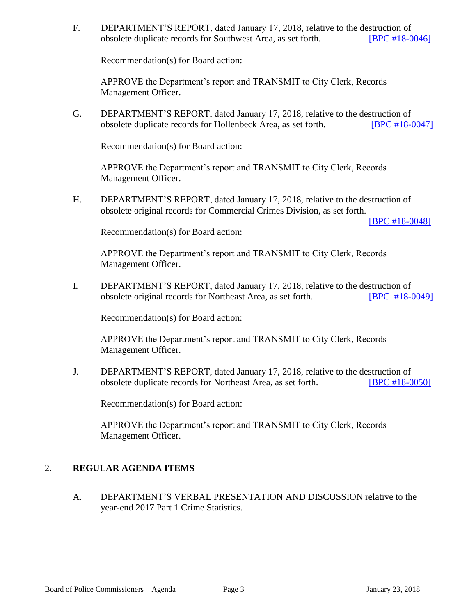F. DEPARTMENT'S REPORT, dated January 17, 2018, relative to the destruction of obsolete duplicate records for Southwest Area, as set forth. [\[BPC #18-0046\]](http://www.lapdpolicecom.lacity.org/012318/BPC_18-0046.pdf)

Recommendation(s) for Board action:

 APPROVE the Department's report and TRANSMIT to City Clerk, Records Management Officer.

G. DEPARTMENT'S REPORT, dated January 17, 2018, relative to the destruction of obsolete duplicate records for Hollenbeck Area, as set forth. [\[BPC #18-0047\]](http://www.lapdpolicecom.lacity.org/012318/BPC_18-0047.pdf) 

Recommendation(s) for Board action:

APPROVE the Department's report and TRANSMIT to City Clerk, Records Management Officer.

H. DEPARTMENT'S REPORT, dated January 17, 2018, relative to the destruction of obsolete original records for Commercial Crimes Division, as set forth.

[\[BPC #18-0048\]](http://www.lapdpolicecom.lacity.org/012318/BPC_18-0048.pdf)

Recommendation(s) for Board action:

 APPROVE the Department's report and TRANSMIT to City Clerk, Records Management Officer.

I. DEPARTMENT'S REPORT, dated January 17, 2018, relative to the destruction of obsolete original records for Northeast Area, as set forth. [\[BPC #18-0049\]](http://www.lapdpolicecom.lacity.org/012318/BPC_18-0049.pdf)

Recommendation(s) for Board action:

APPROVE the Department's report and TRANSMIT to City Clerk, Records Management Officer.

J. DEPARTMENT'S REPORT, dated January 17, 2018, relative to the destruction of obsolete duplicate records for Northeast Area, as set forth. [\[BPC #18-0050\]](http://www.lapdpolicecom.lacity.org/012318/BPC_18-0050.pdf)

Recommendation(s) for Board action:

APPROVE the Department's report and TRANSMIT to City Clerk, Records Management Officer.

# 2. **REGULAR AGENDA ITEMS**

A. DEPARTMENT'S VERBAL PRESENTATION AND DISCUSSION relative to the year-end 2017 Part 1 Crime Statistics.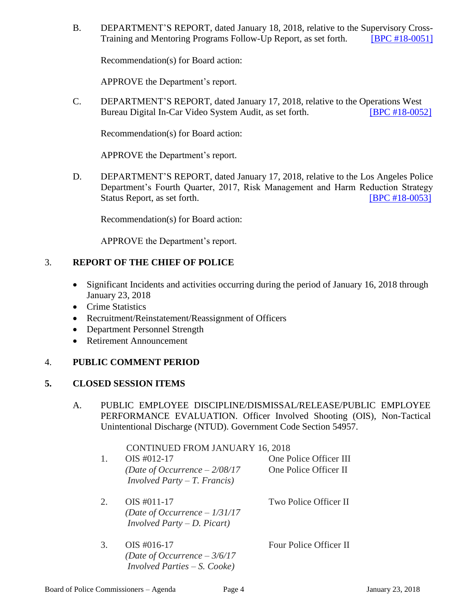B. DEPARTMENT'S REPORT, dated January 18, 2018, relative to the Supervisory Cross-Training and Mentoring Programs Follow-Up Report, as set forth. [BPC #18-0051]

Recommendation(s) for Board action:

APPROVE the Department's report.

C. DEPARTMENT'S REPORT, dated January 17, 2018, relative to the Operations West Bureau Digital In-Car Video System Audit, as set forth. **[\[BPC #18-0052\]](http://www.lapdpolicecom.lacity.org/012318/BPC_18-0052.pdf)** 

Recommendation(s) for Board action:

APPROVE the Department's report.

D. DEPARTMENT'S REPORT, dated January 17, 2018, relative to the Los Angeles Police Department's Fourth Quarter, 2017, Risk Management and Harm Reduction Strategy Status Report, as set forth. [\[BPC #18-0053\]](http://www.lapdpolicecom.lacity.org/012318/BPC_18-0053)

Recommendation(s) for Board action:

APPROVE the Department's report.

#### 3. **REPORT OF THE CHIEF OF POLICE**

- Significant Incidents and activities occurring during the period of January 16, 2018 through January 23, 2018
- Crime Statistics
- Recruitment/Reinstatement/Reassignment of Officers
- Department Personnel Strength
- Retirement Announcement

# 4. **PUBLIC COMMENT PERIOD**

#### **5. CLOSED SESSION ITEMS**

A. PUBLIC EMPLOYEE DISCIPLINE/DISMISSAL/RELEASE/PUBLIC EMPLOYEE PERFORMANCE EVALUATION. Officer Involved Shooting (OIS), Non-Tactical Unintentional Discharge (NTUD). Government Code Section 54957.

| 1. | <b>CONTINUED FROM JANUARY 16, 2018</b><br>$OIS$ #012-17<br>(Date of Occurrence $-2/08/17$<br><i>Involved Party – T. Francis</i> ) | One Police Officer III<br>One Police Officer II |
|----|-----------------------------------------------------------------------------------------------------------------------------------|-------------------------------------------------|
| 2. | OIS #011-17<br>(Date of Occurrence $-1/31/17$<br><i>Involved Party – D. Picart)</i>                                               | Two Police Officer II                           |
| 3. | $OIS$ #016-17<br>(Date of Occurrence $-3/6/17$<br><i>Involved Parties – S. Cooke</i> )                                            | Four Police Officer II                          |